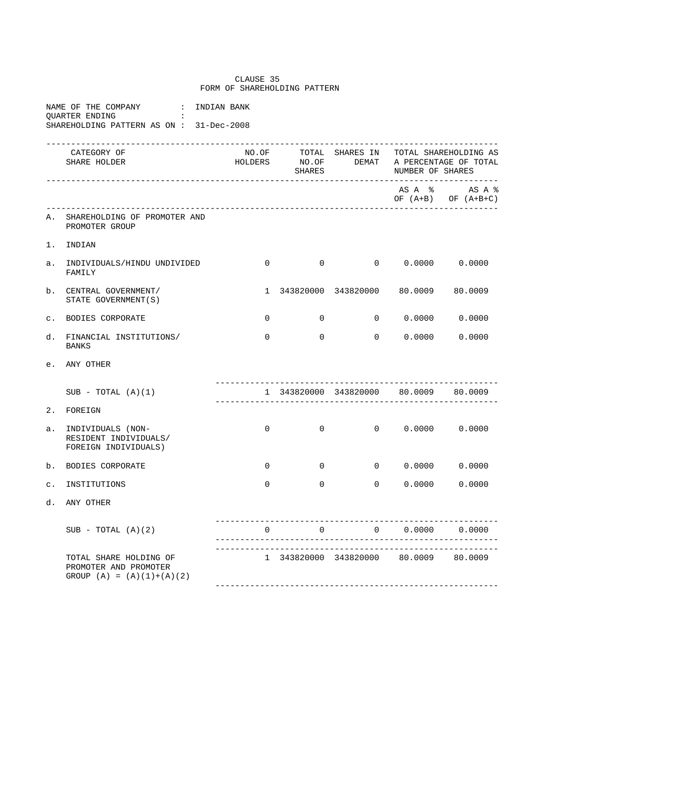## CLAUSE 35 FORM OF SHAREHOLDING PATTERN

|                |  | NAME OF THE COMPANY |  | : INDIAN RANK                           |  |
|----------------|--|---------------------|--|-----------------------------------------|--|
| OUARTER ENDING |  |                     |  |                                         |  |
|                |  |                     |  | SHAREHOLDING PATTERN AS ON: 31-Dec-2008 |  |

|                | CATEGORY OF<br>SHARE HOLDER                                                    |                |                |                                                               | NO.OF TOTAL SHARES IN TOTAL SHAREHOLDING AS<br>HOLDERS NO.OF DEMAT A PERCENTAGE OF TOTAL SHARES |                                                                    |  |  |
|----------------|--------------------------------------------------------------------------------|----------------|----------------|---------------------------------------------------------------|-------------------------------------------------------------------------------------------------|--------------------------------------------------------------------|--|--|
|                |                                                                                |                |                |                                                               |                                                                                                 | $AS A$ $\frac{1}{6}$ $AS A \frac{1}{6}$<br>OF $(A+B)$ OF $(A+B+C)$ |  |  |
| Α.             | SHAREHOLDING OF PROMOTER AND<br>PROMOTER GROUP                                 |                |                |                                                               |                                                                                                 |                                                                    |  |  |
| 1.             | INDIAN                                                                         |                |                |                                                               |                                                                                                 |                                                                    |  |  |
| а.             | INDIVIDUALS/HINDU UNDIVIDED<br>FAMILY                                          | $\Omega$       |                | $0 \qquad \qquad 0 \qquad \qquad 0.0000 \qquad \qquad 0.0000$ |                                                                                                 |                                                                    |  |  |
| b.             | CENTRAL GOVERNMENT/<br>STATE GOVERNMENT (S)                                    | $\mathbf{1}$   |                | 343820000 343820000 80.0009 80.0009                           |                                                                                                 |                                                                    |  |  |
| $\mathbf{C}$ . | BODIES CORPORATE                                                               | $\overline{0}$ | $\overline{0}$ |                                                               | $0 \t 0.0000 \t 0.0000$                                                                         |                                                                    |  |  |
| d.             | FINANCIAL INSTITUTIONS/<br><b>BANKS</b>                                        | $\mathbf 0$    | $\Omega$       |                                                               | 0 0.0000 0.0000                                                                                 |                                                                    |  |  |
| e.             | ANY OTHER                                                                      |                |                |                                                               |                                                                                                 |                                                                    |  |  |
|                | $SUB - TOTAL (A)(1)$                                                           |                |                | 1 343820000 343820000 80.0009 80.0009                         |                                                                                                 |                                                                    |  |  |
| 2.             | FOREIGN                                                                        |                |                |                                                               |                                                                                                 |                                                                    |  |  |
| a.             | INDIVIDUALS (NON-<br>RESIDENT INDIVIDUALS/<br>FOREIGN INDIVIDUALS)             | $\Omega$       | $\Omega$       | $0 \t 0.0000 \t 0.0000$                                       |                                                                                                 |                                                                    |  |  |
| b.             | BODIES CORPORATE                                                               | $\overline{0}$ | $\overline{0}$ |                                                               | $0 \t 0.0000 \t 0.0000$                                                                         |                                                                    |  |  |
| $\mathsf{C}$ . | INSTITUTIONS                                                                   | $\Omega$       | $\Omega$       |                                                               | 0 0.0000                                                                                        | 0.0000                                                             |  |  |
| d.             | ANY OTHER                                                                      |                |                |                                                               |                                                                                                 |                                                                    |  |  |
|                | $SUB - TOTAL (A)(2)$                                                           | $\cap$         | $\overline{a}$ |                                                               | $0 \t 0.0000 \t 0.0000$                                                                         |                                                                    |  |  |
|                | TOTAL SHARE HOLDING OF<br>PROMOTER AND PROMOTER<br>GROUP $(A) = (A)(1)+(A)(2)$ |                |                | 1 343820000 343820000 80.0009 80.0009                         |                                                                                                 |                                                                    |  |  |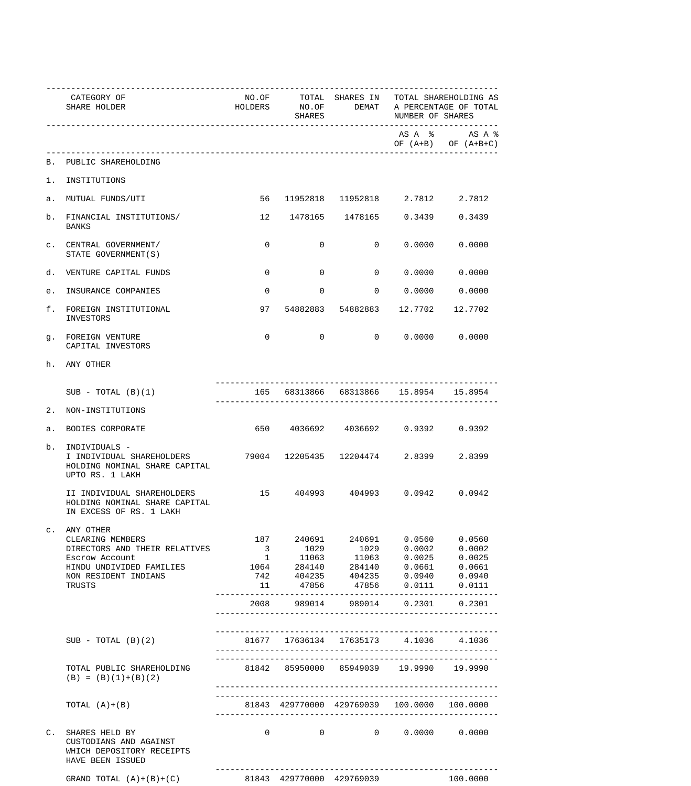|    | CATEGORY OF<br>SHARE HOLDER                                                                  |                         | SHARES         |                                                                                                                       | NO.OF TOTAL SHARES IN TOTAL SHAREHOLDING AS<br>HOLDERS NO.OF DEMAT A PERCENTAGE OF TOTAL<br>NUMBER OF SHARES |                                        |  |
|----|----------------------------------------------------------------------------------------------|-------------------------|----------------|-----------------------------------------------------------------------------------------------------------------------|--------------------------------------------------------------------------------------------------------------|----------------------------------------|--|
|    |                                                                                              |                         |                |                                                                                                                       |                                                                                                              | ASA % ASA %<br>OF $(A+B)$ OF $(A+B+C)$ |  |
|    | B. PUBLIC SHAREHOLDING                                                                       |                         |                |                                                                                                                       |                                                                                                              |                                        |  |
|    | 1. INSTITUTIONS                                                                              |                         |                |                                                                                                                       |                                                                                                              |                                        |  |
|    | a. MUTUAL FUNDS/UTI                                                                          |                         |                | 56 11952818 11952818 2.7812 2.7812                                                                                    |                                                                                                              |                                        |  |
| b. | FINANCIAL INSTITUTIONS/<br>BANKS                                                             |                         |                | 12 1478165 1478165 0.3439 0.3439                                                                                      |                                                                                                              |                                        |  |
|    | C. CENTRAL GOVERNMENT/<br>STATE GOVERNMENT (S)                                               | $\mathbf 0$             | $\overline{0}$ |                                                                                                                       | $0 \t 0.0000 \t 0.0000$                                                                                      |                                        |  |
|    | d. VENTURE CAPITAL FUNDS                                                                     | $\mathbf{0}$            | $\overline{0}$ |                                                                                                                       | $0 \qquad 0.0000 \qquad 0.0000$                                                                              |                                        |  |
|    | e. INSURANCE COMPANIES                                                                       | $\overline{0}$          |                | $0 \t 0 \t 0.0000 \t 0.0000$                                                                                          |                                                                                                              |                                        |  |
|    | f. FOREIGN INSTITUTIONAL<br>INVESTORS                                                        |                         |                | 97  54882883  54882883  12.7702  12.7702                                                                              |                                                                                                              |                                        |  |
|    | q. FOREIGN VENTURE<br>CAPITAL INVESTORS                                                      | $\mathbf 0$             |                | $\overline{0}$                                                                                                        | $0\qquad 0.0000\qquad 0.0000$                                                                                |                                        |  |
|    | h. ANY OTHER                                                                                 |                         |                |                                                                                                                       |                                                                                                              |                                        |  |
|    | $SUB - TOTAL (B)(1)$                                                                         |                         |                | 165 68313866 68313866 15.8954 15.8954                                                                                 |                                                                                                              |                                        |  |
|    | 2. NON-INSTITUTIONS                                                                          |                         |                |                                                                                                                       |                                                                                                              |                                        |  |
|    | a. BODIES CORPORATE                                                                          |                         |                | 650  4036692  4036692  0.9392  0.9392                                                                                 |                                                                                                              |                                        |  |
| b. | INDIVIDUALS -<br>HOLDING NOMINAL SHARE CAPITAL<br>UPTO RS. 1 LAKH                            |                         |                |                                                                                                                       |                                                                                                              |                                        |  |
|    | II INDIVIDUAL SHAREHOLDERS<br>HOLDING NOMINAL SHARE CAPITAL<br>IN EXCESS OF RS. 1 LAKH       |                         |                | 15 404993 404993 0.0942 0.0942                                                                                        |                                                                                                              |                                        |  |
|    | c. ANY OTHER<br>CLEARING MEMBERS                                                             |                         |                | 187  240691  240691  0.0560  0.0560                                                                                   |                                                                                                              |                                        |  |
|    | DIRECTORS AND THEIR RELATIVES                                                                | $\overline{\mathbf{3}}$ |                |                                                                                                                       |                                                                                                              |                                        |  |
|    | Escrow Account                                                                               |                         |                |                                                                                                                       |                                                                                                              |                                        |  |
|    | HINDU UNDIVIDED FAMILIES                                                                     |                         |                | $\begin{array}{cccccccc} 1 & 11063 & 11063 & 0.0025 & 0.0025 \\ 1064 & 284140 & 284140 & 0.0661 & 0.0661 \end{array}$ |                                                                                                              |                                        |  |
|    | NON RESIDENT INDIANS                                                                         |                         |                | 742  404235  404235  0.0940  0.0940                                                                                   |                                                                                                              |                                        |  |
|    | TRUSTS                                                                                       | 11                      |                | 47856  47856  0.0111  0.0111                                                                                          |                                                                                                              |                                        |  |
|    |                                                                                              |                         |                | 2008 989014 989014 0.2301 0.2301                                                                                      |                                                                                                              |                                        |  |
|    |                                                                                              |                         |                |                                                                                                                       |                                                                                                              |                                        |  |
|    | $SUB - TOTAL (B)(2)$                                                                         |                         |                | 81677 17636134 17635173 4.1036 4.1036                                                                                 |                                                                                                              |                                        |  |
|    | TOTAL PUBLIC SHAREHOLDING<br>$(B) = (B)(1)+(B)(2)$                                           |                         |                | 81842 85950000 85949039 19.9990 19.9990                                                                               |                                                                                                              |                                        |  |
|    | TOTAL $(A)+(B)$                                                                              |                         |                | 81843 429770000 429769039 100.0000 100.0000                                                                           |                                                                                                              |                                        |  |
|    | C. SHARES HELD BY<br>CUSTODIANS AND AGAINST<br>WHICH DEPOSITORY RECEIPTS<br>HAVE BEEN ISSUED |                         | $\Omega$       | $0 \qquad \qquad 0 \qquad \qquad 0.0000 \qquad \qquad 0.0000$                                                         |                                                                                                              |                                        |  |
|    | GRAND TOTAL $(A)+(B)+(C)$                                                                    |                         |                | 81843 429770000 429769039                                                                                             |                                                                                                              | 100.0000                               |  |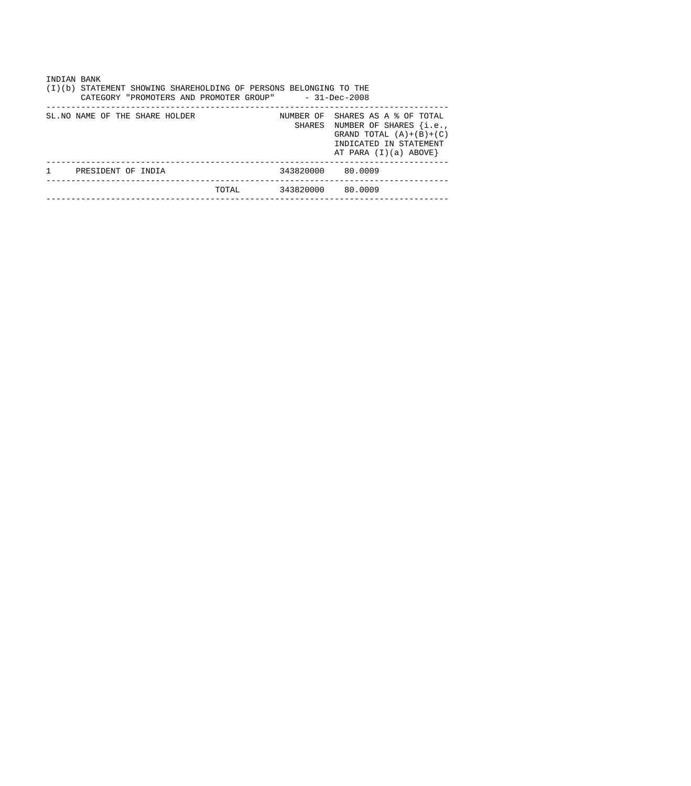| INDIAN BANK<br>(I)(b) STATEMENT SHOWING SHAREHOLDING OF PERSONS BELONGING TO THE<br>CATEGORY "PROMOTERS AND PROMOTER GROUP" - 31-Dec-2008 |                                 |       |                   |                                                                                                                                                      |  |  |  |  |  |  |
|-------------------------------------------------------------------------------------------------------------------------------------------|---------------------------------|-------|-------------------|------------------------------------------------------------------------------------------------------------------------------------------------------|--|--|--|--|--|--|
|                                                                                                                                           | SL. NO NAME OF THE SHARE HOLDER |       |                   | NUMBER OF SHARES AS A % OF TOTAL<br>SHARES NUMBER OF SHARES {i.e.,<br>GRAND TOTAL $(A)+(B)+(C)$<br>INDICATED IN STATEMENT<br>AT PARA $(I)(a)$ ABOVE} |  |  |  |  |  |  |
| -1                                                                                                                                        | PRESIDENT OF INDIA              |       | 343820000 80.0009 |                                                                                                                                                      |  |  |  |  |  |  |
|                                                                                                                                           |                                 | TOTAL | 343820000 80.0009 |                                                                                                                                                      |  |  |  |  |  |  |
|                                                                                                                                           |                                 |       |                   |                                                                                                                                                      |  |  |  |  |  |  |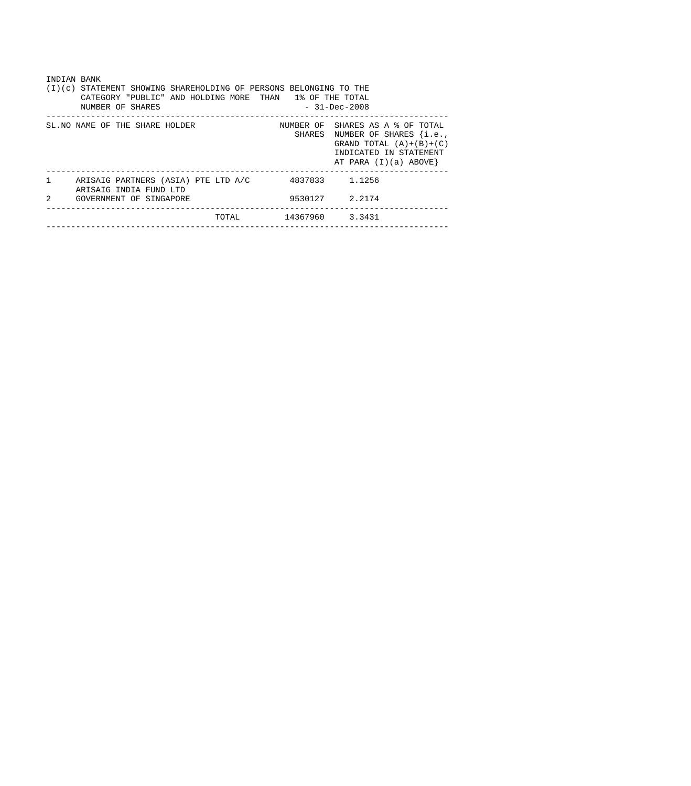| INDIAN BANK<br>(I)(c) STATEMENT SHOWING SHAREHOLDING OF PERSONS BELONGING TO THE<br>1% OF THE TOTAL<br>CATEGORY "PUBLIC" AND HOLDING MORE THAN<br>$-31 - Dec - 2008$<br>NUMBER OF SHARES |                |                                                                                                                                              |  |  |  |  |  |  |  |
|------------------------------------------------------------------------------------------------------------------------------------------------------------------------------------------|----------------|----------------------------------------------------------------------------------------------------------------------------------------------|--|--|--|--|--|--|--|
| SL. NO NAME OF THE SHARE HOLDER                                                                                                                                                          | SHARES         | NUMBER OF SHARES AS A % OF TOTAL<br>NUMBER OF SHARES {i.e.,<br>GRAND TOTAL $(A)+(B)+(C)$<br>INDICATED IN STATEMENT<br>AT PARA $(I)(a)$ ABOVE |  |  |  |  |  |  |  |
| $\mathbf{1}$<br>ARISAIG PARTNERS (ASIA) PTE LTD A/C<br>ARISAIG INDIA FUND LTD                                                                                                            | 4837833 1.1256 |                                                                                                                                              |  |  |  |  |  |  |  |
| $\mathcal{L}$<br>GOVERNMENT OF SINGAPORE                                                                                                                                                 |                | 9530127 2.2174                                                                                                                               |  |  |  |  |  |  |  |
| TOTAL.                                                                                                                                                                                   | 14367960       | 3.3431                                                                                                                                       |  |  |  |  |  |  |  |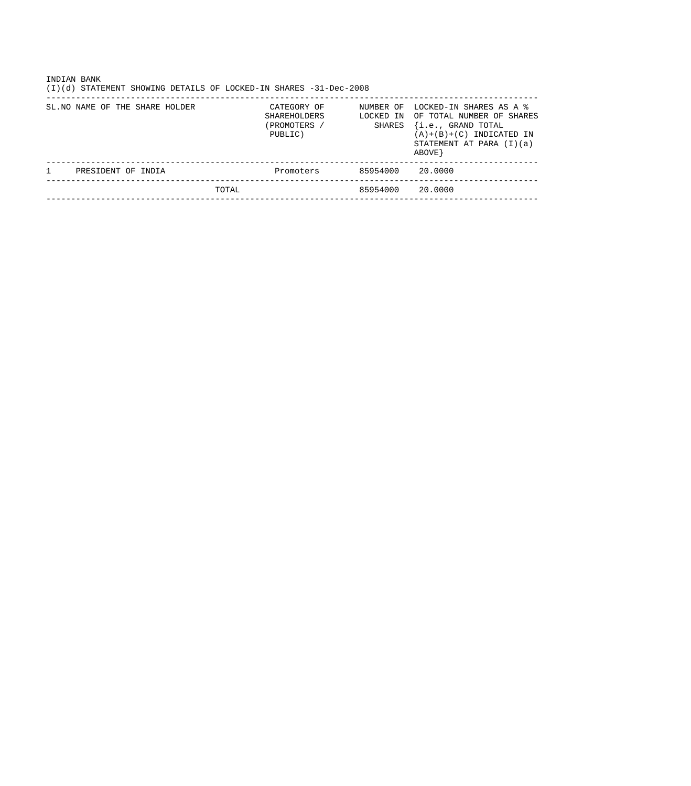| INDIAN BANK<br>STATEMENT SHOWING DETAILS OF LOCKED-IN SHARES -31-Dec-2008<br>(I)(d) |                                                        |                                  |                                                                                                                                                   |
|-------------------------------------------------------------------------------------|--------------------------------------------------------|----------------------------------|---------------------------------------------------------------------------------------------------------------------------------------------------|
| SL. NO NAME OF THE SHARE HOLDER                                                     | CATEGORY OF<br>SHAREHOLDERS<br>(PROMOTERS /<br>PUBLIC) | NUMBER OF<br>LOCKED IN<br>SHARES | LOCKED-IN SHARES AS A %<br>OF TOTAL NUMBER OF SHARES<br>{i.e., GRAND TOTAL<br>$(A)+(B)+(C)$ INDICATED IN<br>STATEMENT AT PARA $(I)(a)$<br>ABOVE } |
| PRESIDENT OF INDIA                                                                  | Promoters                                              | 85954000                         | 20.0000                                                                                                                                           |
| TOTAL                                                                               |                                                        | 85954000                         | 20.0000                                                                                                                                           |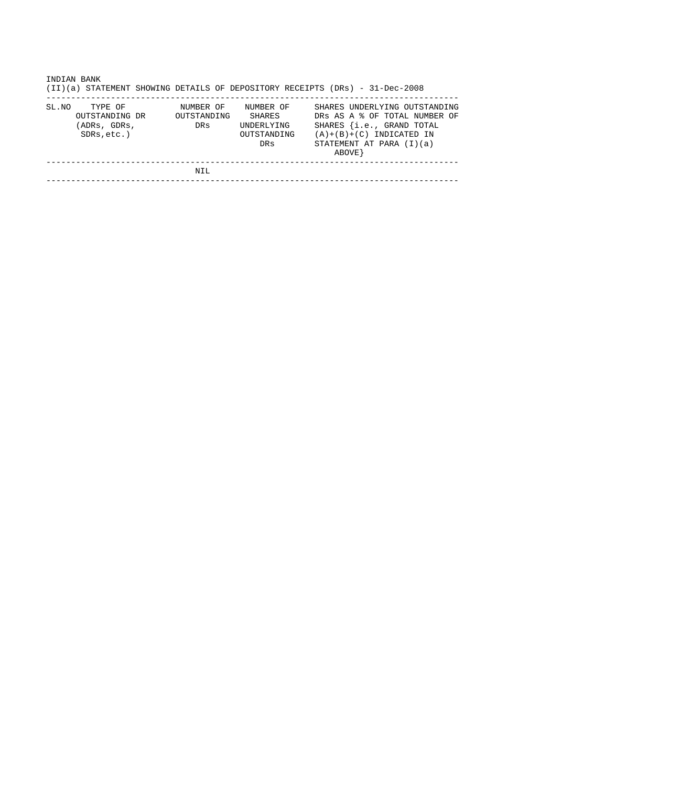|       | INDIAN BANK<br>(II)(a) STATEMENT SHOWING DETAILS OF DEPOSITORY RECEIPTS (DRs) - 31-Dec-2008 |                                 |                                                                |  |         |                                                                                     |                                                                |  |
|-------|---------------------------------------------------------------------------------------------|---------------------------------|----------------------------------------------------------------|--|---------|-------------------------------------------------------------------------------------|----------------------------------------------------------------|--|
| SL.NO | TYPE OF<br>OUTSTANDING DR<br>(ADRs, GDRs,<br>$SDRs, etc.$ )                                 | NUMBER OF<br>OUTSTANDING<br>DRs | NUMBER OF<br>SHARES<br><b>UNDERLYING</b><br>OUTSTANDING<br>DRs |  | ABOVE } | SHARES {i.e., GRAND TOTAL<br>$(A)+(B)+(C)$ INDICATED IN<br>STATEMENT AT PARA (I)(a) | SHARES UNDERLYING OUTSTANDING<br>DRS AS A & OF TOTAL NUMBER OF |  |
|       |                                                                                             | NIL                             |                                                                |  |         |                                                                                     |                                                                |  |